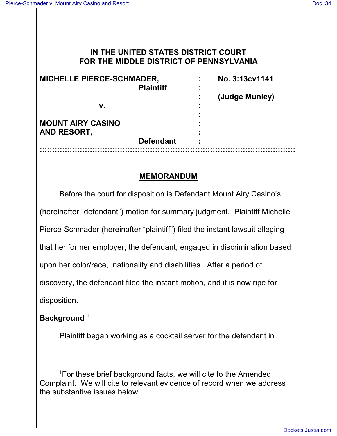# **IN THE UNITED STATES DISTRICT COURT FOR THE MIDDLE DISTRICT OF PENNSYLVANIA**

| <b>MICHELLE PIERCE-SCHMADER,</b><br><b>Plaintiff</b> |                  | ٠ | No. 3:13cv1141 |
|------------------------------------------------------|------------------|---|----------------|
|                                                      |                  |   | (Judge Munley) |
| v.                                                   |                  | ٠ |                |
| <b>MOUNT AIRY CASINO</b>                             |                  |   |                |
| AND RESORT,                                          |                  |   |                |
|                                                      | <b>Defendant</b> |   |                |
|                                                      |                  |   |                |

### **MEMORANDUM**

Before the court for disposition is Defendant Mount Airy Casino's (hereinafter "defendant") motion for summary judgment. Plaintiff Michelle Pierce-Schmader (hereinafter "plaintiff") filed the instant lawsuit alleging that her former employer, the defendant, engaged in discrimination based upon her color/race, nationality and disabilities. After a period of discovery, the defendant filed the instant motion, and it is now ripe for disposition.

## **Background <sup>1</sup>**

Plaintiff began working as a cocktail server for the defendant in

<sup>&</sup>lt;sup>1</sup> For these brief background facts, we will cite to the Amended Complaint. We will cite to relevant evidence of record when we address the substantive issues below.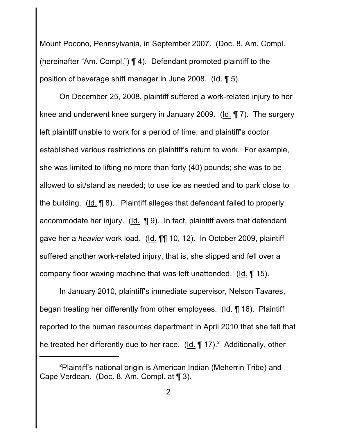Mount Pocono, Pennsylvania, in September 2007. (Doc. 8, Am. Compl. (hereinafter "Am. Compl.") ¶ 4). Defendant promoted plaintiff to the position of beverage shift manager in June 2008. (Id. ¶ 5).

On December 25, 2008, plaintiff suffered a work-related injury to her knee and underwent knee surgery in January 2009. (Id. ¶ 7). The surgery left plaintiff unable to work for a period of time, and plaintiff's doctor established various restrictions on plaintiff's return to work. For example, she was limited to lifting no more than forty (40) pounds; she was to be allowed to sit/stand as needed; to use ice as needed and to park close to the building. (Id. ¶ 8). Plaintiff alleges that defendant failed to properly accommodate her injury. (Id. ¶ 9). In fact, plaintiff avers that defendant gave her a *heavier* work load. (Id. ¶¶ 10, 12). In October 2009, plaintiff suffered another work-related injury, that is, she slipped and fell over a company floor waxing machine that was left unattended. (Id. ¶ 15).

In January 2010, plaintiff's immediate supervisor, Nelson Tavares, began treating her differently from other employees. (Id. ¶ 16). Plaintiff reported to the human resources department in April 2010 that she felt that he treated her differently due to her race. (Id.  $\P$  17).<sup>2</sup> Additionally, other

 $2$ Plaintiff's national origin is American Indian (Meherrin Tribe) and Cape Verdean. (Doc. 8, Am. Compl. at ¶ 3).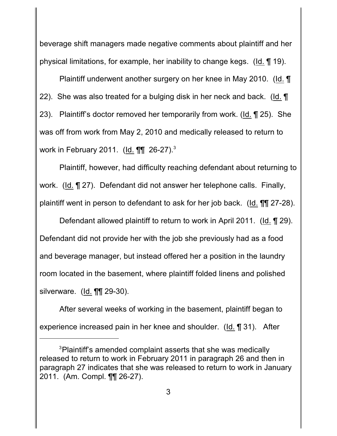beverage shift managers made negative comments about plaintiff and her physical limitations, for example, her inability to change kegs. (Id. ¶ 19).

Plaintiff underwent another surgery on her knee in May 2010. (Id. ¶ 22). She was also treated for a bulging disk in her neck and back. (Id. ¶ 23). Plaintiff's doctor removed her temporarily from work. (Id. ¶ 25). She was off from work from May 2, 2010 and medically released to return to work in February 2011. (Id. ¶¶ 26-27).<sup>3</sup>

Plaintiff, however, had difficulty reaching defendant about returning to work. (Id. ¶ 27). Defendant did not answer her telephone calls. Finally, plaintiff went in person to defendant to ask for her job back. (Id. ¶¶ 27-28).

Defendant allowed plaintiff to return to work in April 2011. (Id. ¶ 29). Defendant did not provide her with the job she previously had as a food and beverage manager, but instead offered her a position in the laundry room located in the basement, where plaintiff folded linens and polished silverware. (Id. ¶¶ 29-30).

After several weeks of working in the basement, plaintiff began to experience increased pain in her knee and shoulder. (Id. ¶ 31). After

<sup>&</sup>lt;sup>3</sup>Plaintiff's amended complaint asserts that she was medically released to return to work in February 2011 in paragraph 26 and then in paragraph 27 indicates that she was released to return to work in January 2011. (Am. Compl. ¶¶ 26-27).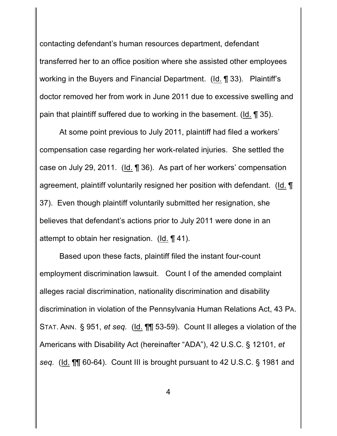contacting defendant's human resources department, defendant transferred her to an office position where she assisted other employees working in the Buyers and Financial Department. (Id. ¶ 33). Plaintiff's doctor removed her from work in June 2011 due to excessive swelling and pain that plaintiff suffered due to working in the basement. (Id. ¶ 35).

At some point previous to July 2011, plaintiff had filed a workers' compensation case regarding her work-related injuries. She settled the case on July 29, 2011. (Id. ¶ 36). As part of her workers' compensation agreement, plaintiff voluntarily resigned her position with defendant. (Id. ¶ 37). Even though plaintiff voluntarily submitted her resignation, she believes that defendant's actions prior to July 2011 were done in an attempt to obtain her resignation. (Id. ¶ 41).

Based upon these facts, plaintiff filed the instant four-count employment discrimination lawsuit. Count I of the amended complaint alleges racial discrimination, nationality discrimination and disability discrimination in violation of the Pennsylvania Human Relations Act, 43 PA. STAT. ANN. § 951, *et seq.* (Id. ¶¶ 53-59). Count II alleges a violation of the Americans with Disability Act (hereinafter "ADA"), 42 U.S.C. § 12101, *et seq.* (Id. ¶¶ 60-64). Count III is brought pursuant to 42 U.S.C. § 1981 and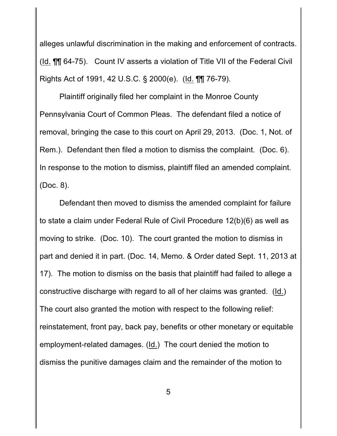alleges unlawful discrimination in the making and enforcement of contracts. (Id. ¶¶ 64-75). Count IV asserts a violation of Title VII of the Federal Civil Rights Act of 1991, 42 U.S.C. § 2000(e). (Id. ¶¶ 76-79).

Plaintiff originally filed her complaint in the Monroe County Pennsylvania Court of Common Pleas. The defendant filed a notice of removal, bringing the case to this court on April 29, 2013. (Doc. 1, Not. of Rem.). Defendant then filed a motion to dismiss the complaint. (Doc. 6). In response to the motion to dismiss, plaintiff filed an amended complaint. (Doc. 8).

Defendant then moved to dismiss the amended complaint for failure to state a claim under Federal Rule of Civil Procedure 12(b)(6) as well as moving to strike. (Doc. 10). The court granted the motion to dismiss in part and denied it in part. (Doc. 14, Memo. & Order dated Sept. 11, 2013 at 17). The motion to dismiss on the basis that plaintiff had failed to allege a constructive discharge with regard to all of her claims was granted. (Id.) The court also granted the motion with respect to the following relief: reinstatement, front pay, back pay, benefits or other monetary or equitable employment-related damages. (Id.) The court denied the motion to dismiss the punitive damages claim and the remainder of the motion to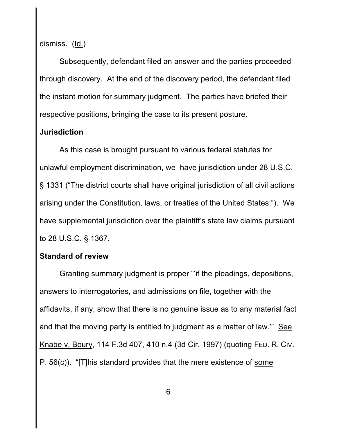dismiss. (Id.)

Subsequently, defendant filed an answer and the parties proceeded through discovery. At the end of the discovery period, the defendant filed the instant motion for summary judgment. The parties have briefed their respective positions, bringing the case to its present posture.

#### **Jurisdiction**

As this case is brought pursuant to various federal statutes for unlawful employment discrimination, we have jurisdiction under 28 U.S.C. § 1331 ("The district courts shall have original jurisdiction of all civil actions arising under the Constitution, laws, or treaties of the United States."). We have supplemental jurisdiction over the plaintiff's state law claims pursuant to 28 U.S.C. § 1367.

#### **Standard of review**

Granting summary judgment is proper "'if the pleadings, depositions, answers to interrogatories, and admissions on file, together with the affidavits, if any, show that there is no genuine issue as to any material fact and that the moving party is entitled to judgment as a matter of law.'" See Knabe v. Boury, 114 F.3d 407, 410 n.4 (3d Cir. 1997) (quoting FED. R. CIV. P. 56(c)). "[T]his standard provides that the mere existence of some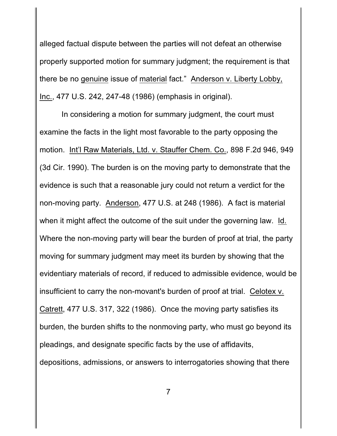alleged factual dispute between the parties will not defeat an otherwise properly supported motion for summary judgment; the requirement is that there be no genuine issue of material fact." Anderson v. Liberty Lobby, Inc., 477 U.S. 242, 247-48 (1986) (emphasis in original).

 In considering a motion for summary judgment, the court must examine the facts in the light most favorable to the party opposing the motion. Int'l Raw Materials, Ltd. v. Stauffer Chem. Co., 898 F.2d 946, 949 (3d Cir. 1990). The burden is on the moving party to demonstrate that the evidence is such that a reasonable jury could not return a verdict for the non-moving party. Anderson, 477 U.S. at 248 (1986). A fact is material when it might affect the outcome of the suit under the governing law. Id. Where the non-moving party will bear the burden of proof at trial, the party moving for summary judgment may meet its burden by showing that the evidentiary materials of record, if reduced to admissible evidence, would be insufficient to carry the non-movant's burden of proof at trial. Celotex v. Catrett, 477 U.S. 317, 322 (1986). Once the moving party satisfies its burden, the burden shifts to the nonmoving party, who must go beyond its pleadings, and designate specific facts by the use of affidavits, depositions, admissions, or answers to interrogatories showing that there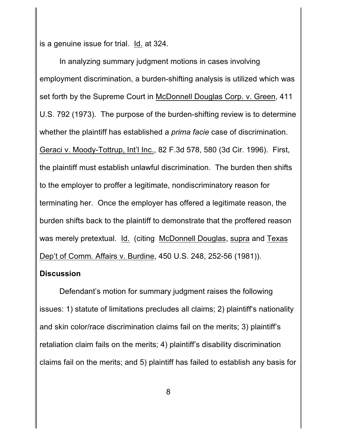is a genuine issue for trial. Id. at 324.

In analyzing summary judgment motions in cases involving employment discrimination, a burden-shifting analysis is utilized which was set forth by the Supreme Court in McDonnell Douglas Corp. v. Green, 411 U.S. 792 (1973). The purpose of the burden-shifting review is to determine whether the plaintiff has established a *prima facie* case of discrimination. Geraci v. Moody-Tottrup, Int'l Inc., 82 F.3d 578, 580 (3d Cir. 1996). First, the plaintiff must establish unlawful discrimination. The burden then shifts to the employer to proffer a legitimate, nondiscriminatory reason for terminating her. Once the employer has offered a legitimate reason, the burden shifts back to the plaintiff to demonstrate that the proffered reason was merely pretextual. Id. (citing McDonnell Douglas, supra and Texas Dep't of Comm. Affairs v. Burdine, 450 U.S. 248, 252-56 (1981)).

### **Discussion**

Defendant's motion for summary judgment raises the following issues: 1) statute of limitations precludes all claims; 2) plaintiff's nationality and skin color/race discrimination claims fail on the merits; 3) plaintiff's retaliation claim fails on the merits; 4) plaintiff's disability discrimination claims fail on the merits; and 5) plaintiff has failed to establish any basis for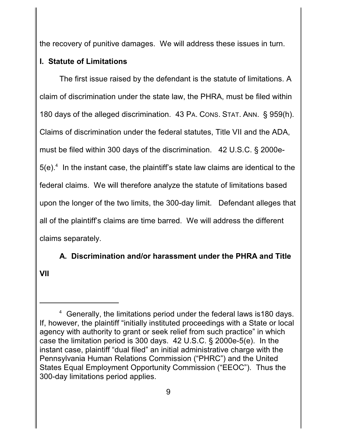the recovery of punitive damages. We will address these issues in turn.

# **I. Statute of Limitations**

The first issue raised by the defendant is the statute of limitations. A claim of discrimination under the state law, the PHRA, must be filed within 180 days of the alleged discrimination. 43 PA. CONS. STAT. ANN. § 959(h). Claims of discrimination under the federal statutes, Title VII and the ADA, must be filed within 300 days of the discrimination. 42 U.S.C. § 2000e- $5(e).<sup>4</sup>$  In the instant case, the plaintiff's state law claims are identical to the federal claims. We will therefore analyze the statute of limitations based upon the longer of the two limits, the 300-day limit. Defendant alleges that all of the plaintiff's claims are time barred. We will address the different claims separately.

**A. Discrimination and/or harassment under the PHRA and Title VII**

<sup>&</sup>lt;sup>4</sup> Generally, the limitations period under the federal laws is 180 days. If, however, the plaintiff "initially instituted proceedings with a State or local agency with authority to grant or seek relief from such practice" in which case the limitation period is 300 days. 42 U.S.C. § 2000e-5(e). In the instant case, plaintiff "dual filed" an initial administrative charge with the Pennsylvania Human Relations Commission ("PHRC") and the United States Equal Employment Opportunity Commission ("EEOC"). Thus the 300-day limitations period applies.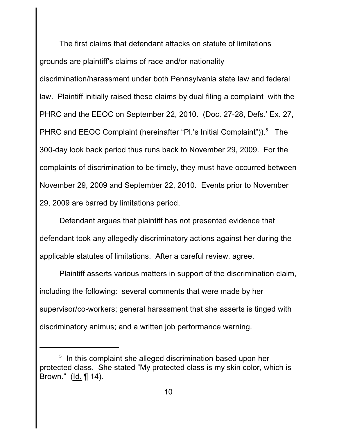The first claims that defendant attacks on statute of limitations grounds are plaintiff's claims of race and/or nationality discrimination/harassment under both Pennsylvania state law and federal law. Plaintiff initially raised these claims by dual filing a complaint with the PHRC and the EEOC on September 22, 2010. (Doc. 27-28, Defs.' Ex. 27, PHRC and EEOC Complaint (hereinafter "Pl.'s Initial Complaint")).<sup>5</sup> The 300-day look back period thus runs back to November 29, 2009. For the complaints of discrimination to be timely, they must have occurred between November 29, 2009 and September 22, 2010. Events prior to November 29, 2009 are barred by limitations period.

Defendant argues that plaintiff has not presented evidence that defendant took any allegedly discriminatory actions against her during the applicable statutes of limitations. After a careful review, agree.

Plaintiff asserts various matters in support of the discrimination claim, including the following: several comments that were made by her supervisor/co-workers; general harassment that she asserts is tinged with discriminatory animus; and a written job performance warning.

 $5$  In this complaint she alleged discrimination based upon her protected class. She stated "My protected class is my skin color, which is Brown." (Id. ¶ 14).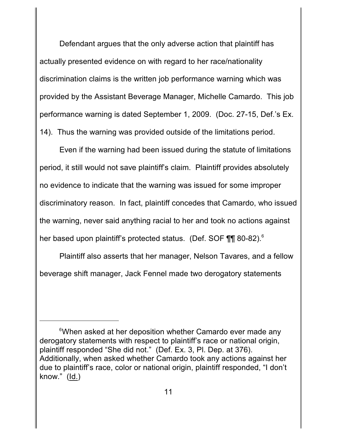Defendant argues that the only adverse action that plaintiff has actually presented evidence on with regard to her race/nationality discrimination claims is the written job performance warning which was provided by the Assistant Beverage Manager, Michelle Camardo. This job performance warning is dated September 1, 2009. (Doc. 27-15, Def.'s Ex. 14). Thus the warning was provided outside of the limitations period.

Even if the warning had been issued during the statute of limitations period, it still would not save plaintiff's claim. Plaintiff provides absolutely no evidence to indicate that the warning was issued for some improper discriminatory reason. In fact, plaintiff concedes that Camardo, who issued the warning, never said anything racial to her and took no actions against her based upon plaintiff's protected status. (Def. SOF ¶¶ 80-82).<sup>6</sup>

Plaintiff also asserts that her manager, Nelson Tavares, and a fellow beverage shift manager, Jack Fennel made two derogatory statements

<sup>&</sup>lt;sup>6</sup>When asked at her deposition whether Camardo ever made any derogatory statements with respect to plaintiff's race or national origin, plaintiff responded "She did not." (Def. Ex. 3, Pl. Dep. at 376). Additionally, when asked whether Camardo took any actions against her due to plaintiff's race, color or national origin, plaintiff responded, "I don't know." (Id.)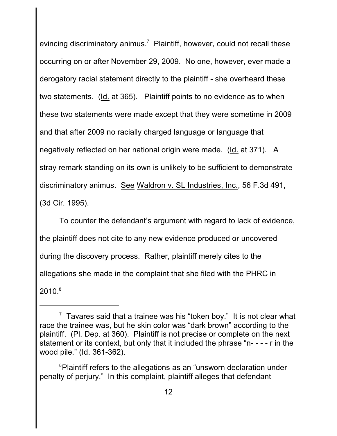evincing discriminatory animus.<sup>7</sup> Plaintiff, however, could not recall these occurring on or after November 29, 2009. No one, however, ever made a derogatory racial statement directly to the plaintiff - she overheard these two statements. (Id. at 365). Plaintiff points to no evidence as to when these two statements were made except that they were sometime in 2009 and that after 2009 no racially charged language or language that negatively reflected on her national origin were made. (Id. at 371). A stray remark standing on its own is unlikely to be sufficient to demonstrate discriminatory animus. See Waldron v. SL Industries, Inc., 56 F.3d 491, (3d Cir. 1995).

To counter the defendant's argument with regard to lack of evidence, the plaintiff does not cite to any new evidence produced or uncovered during the discovery process. Rather, plaintiff merely cites to the allegations she made in the complaint that she filed with the PHRC in  $20$ 10. $^8$ 

 $\frac{7}{7}$  Tavares said that a trainee was his "token boy." It is not clear what race the trainee was, but he skin color was "dark brown" according to the plaintiff. (Pl. Dep. at 360). Plaintiff is not precise or complete on the next statement or its context, but only that it included the phrase "n- - - - r in the wood pile." (Id. 361-362).

 ${}^{8}$ Plaintiff refers to the allegations as an "unsworn declaration under penalty of perjury." In this complaint, plaintiff alleges that defendant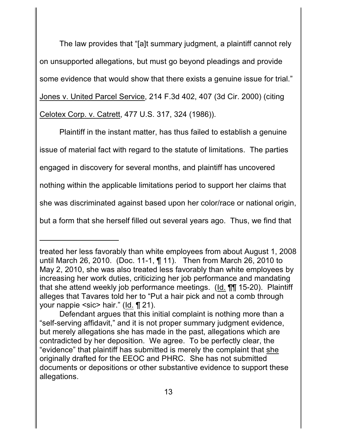The law provides that "[a]t summary judgment, a plaintiff cannot rely on unsupported allegations, but must go beyond pleadings and provide some evidence that would show that there exists a genuine issue for trial." Jones v. United Parcel Service, 214 F.3d 402, 407 (3d Cir. 2000) (citing Celotex Corp. v. Catrett, 477 U.S. 317, 324 (1986)).

Plaintiff in the instant matter, has thus failed to establish a genuine issue of material fact with regard to the statute of limitations. The parties engaged in discovery for several months, and plaintiff has uncovered nothing within the applicable limitations period to support her claims that she was discriminated against based upon her color/race or national origin, but a form that she herself filled out several years ago. Thus, we find that

treated her less favorably than white employees from about August 1, 2008 until March 26, 2010. (Doc. 11-1, ¶ 11). Then from March 26, 2010 to May 2, 2010, she was also treated less favorably than white employees by increasing her work duties, criticizing her job performance and mandating that she attend weekly job performance meetings. (Id. ¶¶ 15-20). Plaintiff alleges that Tavares told her to "Put a hair pick and not a comb through your nappie <sic> hair." (Id. ¶ 21).

Defendant argues that this initial complaint is nothing more than a "self-serving affidavit," and it is not proper summary judgment evidence, but merely allegations she has made in the past, allegations which are contradicted by her deposition. We agree. To be perfectly clear, the "evidence" that plaintiff has submitted is merely the complaint that she originally drafted for the EEOC and PHRC. She has not submitted documents or depositions or other substantive evidence to support these allegations.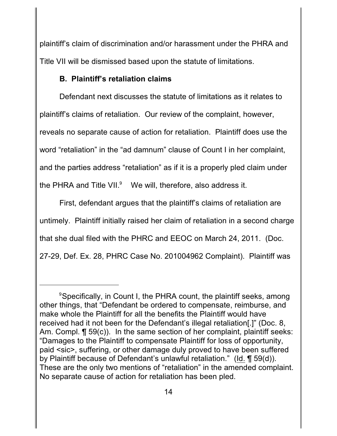plaintiff's claim of discrimination and/or harassment under the PHRA and Title VII will be dismissed based upon the statute of limitations.

# **B. Plaintiff's retaliation claims**

Defendant next discusses the statute of limitations as it relates to plaintiff's claims of retaliation. Our review of the complaint, however, reveals no separate cause of action for retaliation. Plaintiff does use the word "retaliation" in the "ad damnum" clause of Count I in her complaint, and the parties address "retaliation" as if it is a properly pled claim under the PHRA and Title VII. $9$  We will, therefore, also address it.

First, defendant argues that the plaintiff's claims of retaliation are untimely. Plaintiff initially raised her claim of retaliation in a second charge that she dual filed with the PHRC and EEOC on March 24, 2011. (Doc. 27-29, Def. Ex. 28, PHRC Case No. 201004962 Complaint). Plaintiff was

<sup>&</sup>lt;sup>9</sup> Specifically, in Count I, the PHRA count, the plaintiff seeks, among other things, that "Defendant be ordered to compensate, reimburse, and make whole the Plaintiff for all the benefits the Plaintiff would have received had it not been for the Defendant's illegal retaliation[.]" (Doc. 8, Am. Compl. ¶ 59(c)). In the same section of her complaint, plaintiff seeks: "Damages to the Plaintiff to compensate Plaintiff for loss of opportunity, paid <sic>, suffering, or other damage duly proved to have been suffered by Plaintiff because of Defendant's unlawful retaliation." (Id. ¶ 59(d)). These are the only two mentions of "retaliation" in the amended complaint. No separate cause of action for retaliation has been pled.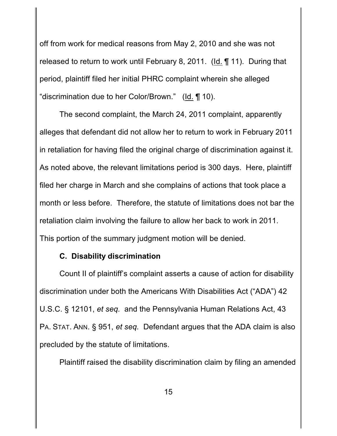off from work for medical reasons from May 2, 2010 and she was not released to return to work until February 8, 2011. (Id. ¶ 11). During that period, plaintiff filed her initial PHRC complaint wherein she alleged "discrimination due to her Color/Brown." (Id. ¶ 10).

The second complaint, the March 24, 2011 complaint, apparently alleges that defendant did not allow her to return to work in February 2011 in retaliation for having filed the original charge of discrimination against it. As noted above, the relevant limitations period is 300 days. Here, plaintiff filed her charge in March and she complains of actions that took place a month or less before. Therefore, the statute of limitations does not bar the retaliation claim involving the failure to allow her back to work in 2011. This portion of the summary judgment motion will be denied.

### **C. Disability discrimination**

Count II of plaintiff's complaint asserts a cause of action for disability discrimination under both the Americans With Disabilities Act ("ADA") 42 U.S.C. § 12101, *et seq.* and the Pennsylvania Human Relations Act, 43 PA. STAT. ANN. § 951, *et seq.* Defendant argues that the ADA claim is also precluded by the statute of limitations.

Plaintiff raised the disability discrimination claim by filing an amended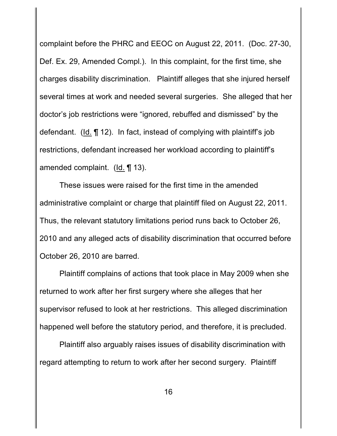complaint before the PHRC and EEOC on August 22, 2011. (Doc. 27-30, Def. Ex. 29, Amended Compl.). In this complaint, for the first time, she charges disability discrimination. Plaintiff alleges that she injured herself several times at work and needed several surgeries. She alleged that her doctor's job restrictions were "ignored, rebuffed and dismissed" by the defendant. (Id. ¶ 12). In fact, instead of complying with plaintiff's job restrictions, defendant increased her workload according to plaintiff's amended complaint. (Id. ¶ 13).

These issues were raised for the first time in the amended administrative complaint or charge that plaintiff filed on August 22, 2011. Thus, the relevant statutory limitations period runs back to October 26, 2010 and any alleged acts of disability discrimination that occurred before October 26, 2010 are barred.

Plaintiff complains of actions that took place in May 2009 when she returned to work after her first surgery where she alleges that her supervisor refused to look at her restrictions. This alleged discrimination happened well before the statutory period, and therefore, it is precluded.

Plaintiff also arguably raises issues of disability discrimination with regard attempting to return to work after her second surgery. Plaintiff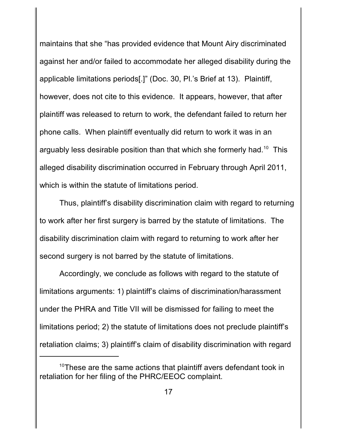maintains that she "has provided evidence that Mount Airy discriminated against her and/or failed to accommodate her alleged disability during the applicable limitations periods[.]" (Doc. 30, Pl.'s Brief at 13). Plaintiff, however, does not cite to this evidence. It appears, however, that after plaintiff was released to return to work, the defendant failed to return her phone calls. When plaintiff eventually did return to work it was in an arguably less desirable position than that which she formerly had.<sup>10</sup> This alleged disability discrimination occurred in February through April 2011, which is within the statute of limitations period.

Thus, plaintiff's disability discrimination claim with regard to returning to work after her first surgery is barred by the statute of limitations. The disability discrimination claim with regard to returning to work after her second surgery is not barred by the statute of limitations.

Accordingly, we conclude as follows with regard to the statute of limitations arguments: 1) plaintiff's claims of discrimination/harassment under the PHRA and Title VII will be dismissed for failing to meet the limitations period; 2) the statute of limitations does not preclude plaintiff's retaliation claims; 3) plaintiff's claim of disability discrimination with regard

 $10$ These are the same actions that plaintiff avers defendant took in retaliation for her filing of the PHRC/EEOC complaint.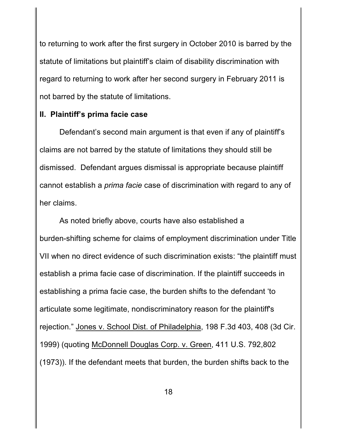to returning to work after the first surgery in October 2010 is barred by the statute of limitations but plaintiff's claim of disability discrimination with regard to returning to work after her second surgery in February 2011 is not barred by the statute of limitations.

## **II. Plaintiff's prima facie case**

Defendant's second main argument is that even if any of plaintiff's claims are not barred by the statute of limitations they should still be dismissed. Defendant argues dismissal is appropriate because plaintiff cannot establish a *prima facie* case of discrimination with regard to any of her claims.

As noted briefly above, courts have also established a burden-shifting scheme for claims of employment discrimination under Title VII when no direct evidence of such discrimination exists: "the plaintiff must establish a prima facie case of discrimination. If the plaintiff succeeds in establishing a prima facie case, the burden shifts to the defendant 'to articulate some legitimate, nondiscriminatory reason for the plaintiff's rejection." Jones v. School Dist. of Philadelphia, 198 F.3d 403, 408 (3d Cir. 1999) (quoting McDonnell Douglas Corp. v. Green, 411 U.S. 792,802 (1973)). If the defendant meets that burden, the burden shifts back to the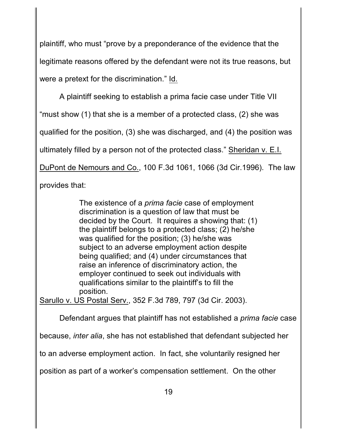plaintiff, who must "prove by a preponderance of the evidence that the legitimate reasons offered by the defendant were not its true reasons, but were a pretext for the discrimination." Id.

A plaintiff seeking to establish a prima facie case under Title VII "must show (1) that she is a member of a protected class, (2) she was qualified for the position, (3) she was discharged, and (4) the position was ultimately filled by a person not of the protected class." Sheridan v. E.I. DuPont de Nemours and Co., 100 F.3d 1061, 1066 (3d Cir.1996). The law provides that:

> The existence of a *prima facie* case of employment discrimination is a question of law that must be decided by the Court. It requires a showing that: (1) the plaintiff belongs to a protected class; (2) he/she was qualified for the position; (3) he/she was subject to an adverse employment action despite being qualified; and (4) under circumstances that raise an inference of discriminatory action, the employer continued to seek out individuals with qualifications similar to the plaintiff's to fill the position.

Sarullo v. US Postal Serv., 352 F.3d 789, 797 (3d Cir. 2003).

Defendant argues that plaintiff has not established a *prima facie* case

because, *inter alia*, she has not established that defendant subjected her

to an adverse employment action. In fact, she voluntarily resigned her

position as part of a worker's compensation settlement. On the other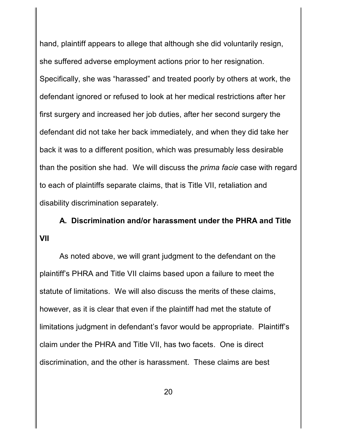hand, plaintiff appears to allege that although she did voluntarily resign, she suffered adverse employment actions prior to her resignation. Specifically, she was "harassed" and treated poorly by others at work, the defendant ignored or refused to look at her medical restrictions after her first surgery and increased her job duties, after her second surgery the defendant did not take her back immediately, and when they did take her back it was to a different position, which was presumably less desirable than the position she had. We will discuss the *prima facie* case with regard to each of plaintiffs separate claims, that is Title VII, retaliation and disability discrimination separately.

**A. Discrimination and/or harassment under the PHRA and Title VII**

As noted above, we will grant judgment to the defendant on the plaintiff's PHRA and Title VII claims based upon a failure to meet the statute of limitations. We will also discuss the merits of these claims, however, as it is clear that even if the plaintiff had met the statute of limitations judgment in defendant's favor would be appropriate. Plaintiff's claim under the PHRA and Title VII, has two facets. One is direct discrimination, and the other is harassment. These claims are best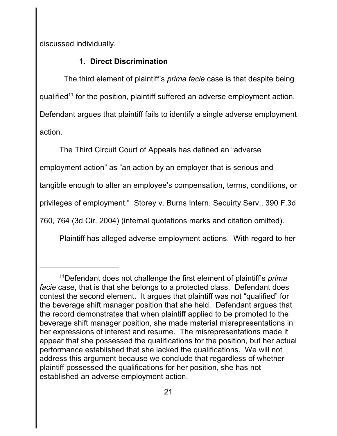discussed individually.

# **1. Direct Discrimination**

 The third element of plaintiff's *prima facie* case is that despite being qualified<sup>11</sup> for the position, plaintiff suffered an adverse employment action. Defendant argues that plaintiff fails to identify a single adverse employment action.

The Third Circuit Court of Appeals has defined an "adverse employment action" as "an action by an employer that is serious and tangible enough to alter an employee's compensation, terms, conditions, or privileges of employment." Storey v. Burns Intern. Secuirty Serv., 390 F.3d 760, 764 (3d Cir. 2004) (internal quotations marks and citation omitted).

Plaintiff has alleged adverse employment actions. With regard to her

<sup>&</sup>lt;sup>11</sup>Defendant does not challenge the first element of plaintiff's *prima facie* case, that is that she belongs to a protected class. Defendant does contest the second element. It argues that plaintiff was not "qualified" for the beverage shift manager position that she held. Defendant argues that the record demonstrates that when plaintiff applied to be promoted to the beverage shift manager position, she made material misrepresentations in her expressions of interest and resume. The misrepresentations made it appear that she possessed the qualifications for the position, but her actual performance established that she lacked the qualifications. We will not address this argument because we conclude that regardless of whether plaintiff possessed the qualifications for her position, she has not established an adverse employment action.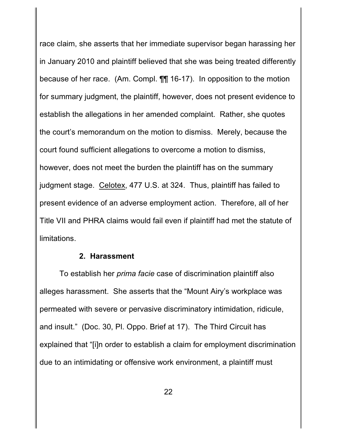race claim, she asserts that her immediate supervisor began harassing her in January 2010 and plaintiff believed that she was being treated differently because of her race. (Am. Compl. ¶¶ 16-17). In opposition to the motion for summary judgment, the plaintiff, however, does not present evidence to establish the allegations in her amended complaint. Rather, she quotes the court's memorandum on the motion to dismiss. Merely, because the court found sufficient allegations to overcome a motion to dismiss, however, does not meet the burden the plaintiff has on the summary judgment stage. Celotex, 477 U.S. at 324. Thus, plaintiff has failed to present evidence of an adverse employment action. Therefore, all of her Title VII and PHRA claims would fail even if plaintiff had met the statute of limitations.

#### **2. Harassment**

To establish her *prima facie* case of discrimination plaintiff also alleges harassment. She asserts that the "Mount Airy's workplace was permeated with severe or pervasive discriminatory intimidation, ridicule, and insult." (Doc. 30, Pl. Oppo. Brief at 17). The Third Circuit has explained that "[i]n order to establish a claim for employment discrimination due to an intimidating or offensive work environment, a plaintiff must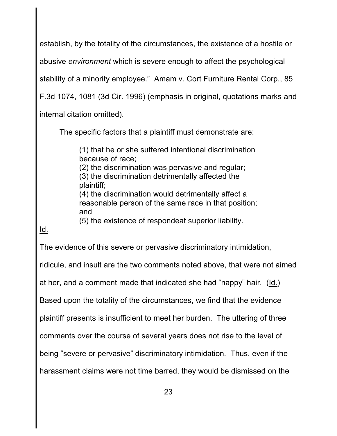establish, by the totality of the circumstances, the existence of a hostile or abusive *environment* which is severe enough to affect the psychological stability of a minority employee." Amam v. Cort Furniture Rental Corp., 85 F.3d 1074, 1081 (3d Cir. 1996) (emphasis in original, quotations marks and internal citation omitted).

The specific factors that a plaintiff must demonstrate are:

(1) that he or she suffered intentional discrimination because of race;

(2) the discrimination was pervasive and regular; (3) the discrimination detrimentally affected the plaintiff;

(4) the discrimination would detrimentally affect a reasonable person of the same race in that position; and

(5) the existence of respondeat superior liability.

# Id.

The evidence of this severe or pervasive discriminatory intimidation,

ridicule, and insult are the two comments noted above, that were not aimed

at her, and a comment made that indicated she had "nappy" hair. (Id.)

Based upon the totality of the circumstances, we find that the evidence

plaintiff presents is insufficient to meet her burden. The uttering of three

comments over the course of several years does not rise to the level of

being "severe or pervasive" discriminatory intimidation. Thus, even if the

harassment claims were not time barred, they would be dismissed on the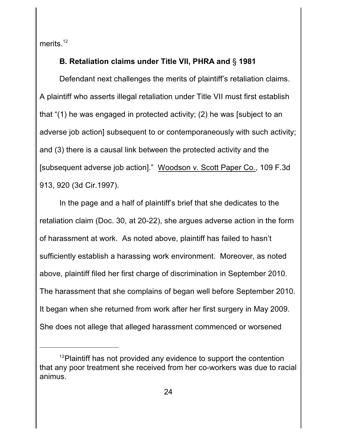merits.<sup>12</sup>

# **B. Retaliation claims under Title VII, PHRA and** § **1981**

Defendant next challenges the merits of plaintiff's retaliation claims. A plaintiff who asserts illegal retaliation under Title VII must first establish that "(1) he was engaged in protected activity; (2) he was [subject to an adverse job action] subsequent to or contemporaneously with such activity; and (3) there is a causal link between the protected activity and the [subsequent adverse job action]." Woodson v. Scott Paper Co., 109 F.3d 913, 920 (3d Cir.1997).

In the page and a half of plaintiff's brief that she dedicates to the retaliation claim (Doc. 30, at 20-22), she argues adverse action in the form of harassment at work. As noted above, plaintiff has failed to hasn't sufficiently establish a harassing work environment. Moreover, as noted above, plaintiff filed her first charge of discrimination in September 2010. The harassment that she complains of began well before September 2010. It began when she returned from work after her first surgery in May 2009. She does not allege that alleged harassment commenced or worsened

 $12$ Plaintiff has not provided any evidence to support the contention that any poor treatment she received from her co-workers was due to racial animus.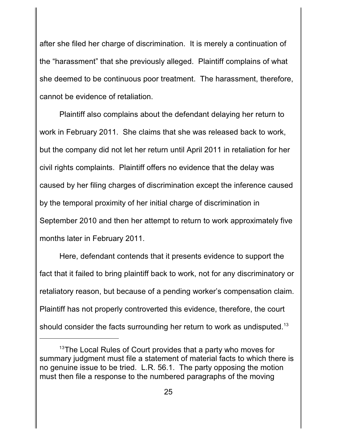after she filed her charge of discrimination. It is merely a continuation of the "harassment" that she previously alleged. Plaintiff complains of what she deemed to be continuous poor treatment. The harassment, therefore, cannot be evidence of retaliation.

Plaintiff also complains about the defendant delaying her return to work in February 2011. She claims that she was released back to work, but the company did not let her return until April 2011 in retaliation for her civil rights complaints. Plaintiff offers no evidence that the delay was caused by her filing charges of discrimination except the inference caused by the temporal proximity of her initial charge of discrimination in September 2010 and then her attempt to return to work approximately five months later in February 2011.

Here, defendant contends that it presents evidence to support the fact that it failed to bring plaintiff back to work, not for any discriminatory or retaliatory reason, but because of a pending worker's compensation claim. Plaintiff has not properly controverted this evidence, therefore, the court should consider the facts surrounding her return to work as undisputed.<sup>13</sup>

 $13$ The Local Rules of Court provides that a party who moves for summary judgment must file a statement of material facts to which there is no genuine issue to be tried. L.R. 56.1. The party opposing the motion must then file a response to the numbered paragraphs of the moving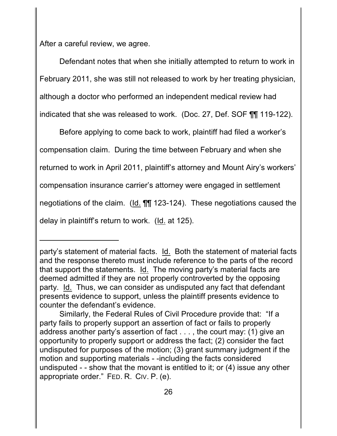After a careful review, we agree.

Defendant notes that when she initially attempted to return to work in February 2011, she was still not released to work by her treating physician, although a doctor who performed an independent medical review had indicated that she was released to work. (Doc. 27, Def. SOF ¶¶ 119-122).

Before applying to come back to work, plaintiff had filed a worker's compensation claim. During the time between February and when she returned to work in April 2011, plaintiff's attorney and Mount Airy's workers' compensation insurance carrier's attorney were engaged in settlement negotiations of the claim. (Id. ¶¶ 123-124). These negotiations caused the delay in plaintiff's return to work. (Id. at 125).

party's statement of material facts. Id. Both the statement of material facts and the response thereto must include reference to the parts of the record that support the statements. Id. The moving party's material facts are deemed admitted if they are not properly controverted by the opposing party. Id. Thus, we can consider as undisputed any fact that defendant presents evidence to support, unless the plaintiff presents evidence to counter the defendant's evidence.

Similarly, the Federal Rules of Civil Procedure provide that: "If a party fails to properly support an assertion of fact or fails to properly address another party's assertion of fact . . . , the court may: (1) give an opportunity to properly support or address the fact; (2) consider the fact undisputed for purposes of the motion; (3) grant summary judgment if the motion and supporting materials - -including the facts considered undisputed - - show that the movant is entitled to it; or (4) issue any other appropriate order." FED. R. CIV. P. (e).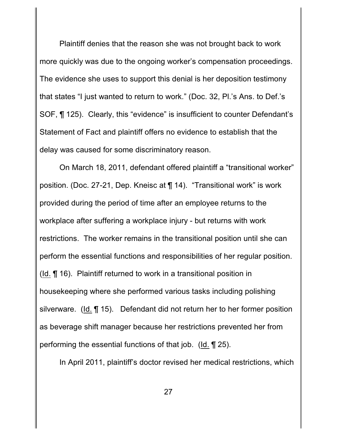Plaintiff denies that the reason she was not brought back to work more quickly was due to the ongoing worker's compensation proceedings. The evidence she uses to support this denial is her deposition testimony that states "I just wanted to return to work." (Doc. 32, Pl.'s Ans. to Def.'s SOF, ¶ 125). Clearly, this "evidence" is insufficient to counter Defendant's Statement of Fact and plaintiff offers no evidence to establish that the delay was caused for some discriminatory reason.

On March 18, 2011, defendant offered plaintiff a "transitional worker" position. (Doc. 27-21, Dep. Kneisc at ¶ 14). "Transitional work" is work provided during the period of time after an employee returns to the workplace after suffering a workplace injury - but returns with work restrictions. The worker remains in the transitional position until she can perform the essential functions and responsibilities of her regular position. (Id. ¶ 16). Plaintiff returned to work in a transitional position in housekeeping where she performed various tasks including polishing silverware. (Id. ¶ 15). Defendant did not return her to her former position as beverage shift manager because her restrictions prevented her from performing the essential functions of that job. (Id. ¶ 25).

In April 2011, plaintiff's doctor revised her medical restrictions, which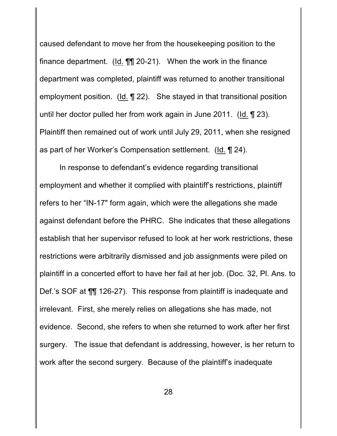caused defendant to move her from the housekeeping position to the finance department. (Id. ¶¶ 20-21). When the work in the finance department was completed, plaintiff was returned to another transitional employment position. (Id. ¶ 22). She stayed in that transitional position until her doctor pulled her from work again in June 2011. (Id. ¶ 23). Plaintiff then remained out of work until July 29, 2011, when she resigned as part of her Worker's Compensation settlement. (Id. ¶ 24).

In response to defendant's evidence regarding transitional employment and whether it complied with plaintiff's restrictions, plaintiff refers to her "IN-17" form again, which were the allegations she made against defendant before the PHRC. She indicates that these allegations establish that her supervisor refused to look at her work restrictions, these restrictions were arbitrarily dismissed and job assignments were piled on plaintiff in a concerted effort to have her fail at her job. (Doc. 32, Pl. Ans. to Def.'s SOF at ¶¶ 126-27). This response from plaintiff is inadequate and irrelevant. First, she merely relies on allegations she has made, not evidence. Second, she refers to when she returned to work after her first surgery. The issue that defendant is addressing, however, is her return to work after the second surgery. Because of the plaintiff's inadequate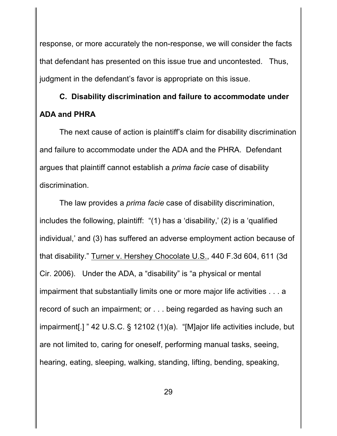response, or more accurately the non-response, we will consider the facts that defendant has presented on this issue true and uncontested. Thus, judgment in the defendant's favor is appropriate on this issue.

# **C. Disability discrimination and failure to accommodate under ADA and PHRA**

The next cause of action is plaintiff's claim for disability discrimination and failure to accommodate under the ADA and the PHRA. Defendant argues that plaintiff cannot establish a *prima facie* case of disability discrimination.

The law provides a *prima facie* case of disability discrimination, includes the following, plaintiff: "(1) has a 'disability,' (2) is a 'qualified individual,' and (3) has suffered an adverse employment action because of that disability." Turner v. Hershey Chocolate U.S., 440 F.3d 604, 611 (3d Cir. 2006). Under the ADA, a "disability" is "a physical or mental impairment that substantially limits one or more major life activities . . . a record of such an impairment; or . . . being regarded as having such an impairment[.] " 42 U.S.C. § 12102 (1)(a). "[M]ajor life activities include, but are not limited to, caring for oneself, performing manual tasks, seeing, hearing, eating, sleeping, walking, standing, lifting, bending, speaking,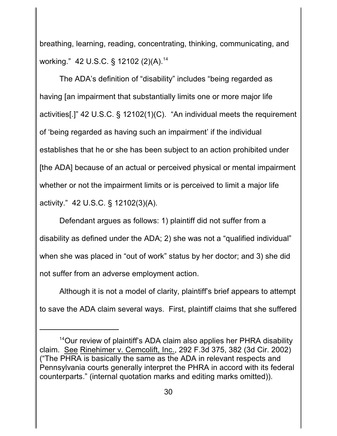breathing, learning, reading, concentrating, thinking, communicating, and working." 42 U.S.C. § 12102 (2)(A).<sup>14</sup>

The ADA's definition of "disability" includes "being regarded as having [an impairment that substantially limits one or more major life activities[.]" 42 U.S.C. § 12102(1)(C). "An individual meets the requirement of 'being regarded as having such an impairment' if the individual establishes that he or she has been subject to an action prohibited under [the ADA] because of an actual or perceived physical or mental impairment whether or not the impairment limits or is perceived to limit a major life activity." 42 U.S.C. § 12102(3)(A).

Defendant argues as follows: 1) plaintiff did not suffer from a disability as defined under the ADA; 2) she was not a "qualified individual" when she was placed in "out of work" status by her doctor; and 3) she did not suffer from an adverse employment action.

Although it is not a model of clarity, plaintiff's brief appears to attempt to save the ADA claim several ways. First, plaintiff claims that she suffered

 $14$ Our review of plaintiff's ADA claim also applies her PHRA disability claim. See Rinehimer v. Cemcolift, Inc., 292 F.3d 375, 382 (3d Cir. 2002) ("The PHRA is basically the same as the ADA in relevant respects and Pennsylvania courts generally interpret the PHRA in accord with its federal counterparts." (internal quotation marks and editing marks omitted)).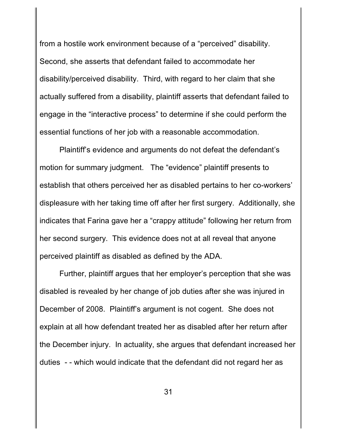from a hostile work environment because of a "perceived" disability. Second, she asserts that defendant failed to accommodate her disability/perceived disability. Third, with regard to her claim that she actually suffered from a disability, plaintiff asserts that defendant failed to engage in the "interactive process" to determine if she could perform the essential functions of her job with a reasonable accommodation.

Plaintiff's evidence and arguments do not defeat the defendant's motion for summary judgment. The "evidence" plaintiff presents to establish that others perceived her as disabled pertains to her co-workers' displeasure with her taking time off after her first surgery. Additionally, she indicates that Farina gave her a "crappy attitude" following her return from her second surgery. This evidence does not at all reveal that anyone perceived plaintiff as disabled as defined by the ADA.

Further, plaintiff argues that her employer's perception that she was disabled is revealed by her change of job duties after she was injured in December of 2008. Plaintiff's argument is not cogent. She does not explain at all how defendant treated her as disabled after her return after the December injury. In actuality, she argues that defendant increased her duties - - which would indicate that the defendant did not regard her as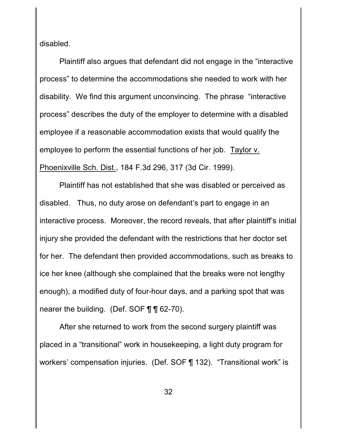disabled.

Plaintiff also argues that defendant did not engage in the "interactive process" to determine the accommodations she needed to work with her disability. We find this argument unconvincing. The phrase "interactive process" describes the duty of the employer to determine with a disabled employee if a reasonable accommodation exists that would qualify the employee to perform the essential functions of her job. Taylor v. Phoenixville Sch. Dist., 184 F.3d 296, 317 (3d Cir. 1999).

Plaintiff has not established that she was disabled or perceived as disabled. Thus, no duty arose on defendant's part to engage in an interactive process. Moreover, the record reveals, that after plaintiff's initial injury she provided the defendant with the restrictions that her doctor set for her. The defendant then provided accommodations, such as breaks to ice her knee (although she complained that the breaks were not lengthy enough), a modified duty of four-hour days, and a parking spot that was nearer the building. (Def. SOF ¶ ¶ 62-70).

After she returned to work from the second surgery plaintiff was placed in a "transitional" work in housekeeping, a light duty program for workers' compensation injuries. (Def. SOF ¶ 132). "Transitional work" is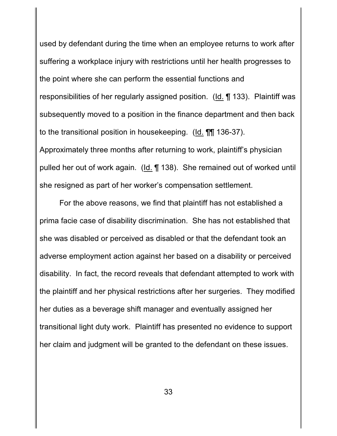used by defendant during the time when an employee returns to work after suffering a workplace injury with restrictions until her health progresses to the point where she can perform the essential functions and responsibilities of her regularly assigned position. (Id. ¶ 133). Plaintiff was subsequently moved to a position in the finance department and then back to the transitional position in housekeeping. (Id. ¶¶ 136-37). Approximately three months after returning to work, plaintiff's physician pulled her out of work again. (Id. ¶ 138). She remained out of worked until she resigned as part of her worker's compensation settlement.

For the above reasons, we find that plaintiff has not established a prima facie case of disability discrimination. She has not established that she was disabled or perceived as disabled or that the defendant took an adverse employment action against her based on a disability or perceived disability. In fact, the record reveals that defendant attempted to work with the plaintiff and her physical restrictions after her surgeries. They modified her duties as a beverage shift manager and eventually assigned her transitional light duty work. Plaintiff has presented no evidence to support her claim and judgment will be granted to the defendant on these issues.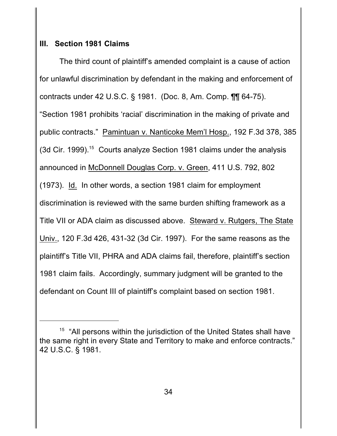### **III. Section 1981 Claims**

The third count of plaintiff's amended complaint is a cause of action for unlawful discrimination by defendant in the making and enforcement of contracts under 42 U.S.C. § 1981. (Doc. 8, Am. Comp. ¶¶ 64-75). "Section 1981 prohibits 'racial' discrimination in the making of private and public contracts." Pamintuan v. Nanticoke Mem'l Hosp., 192 F.3d 378, 385 (3d Cir. 1999).<sup>15</sup> Courts analyze Section 1981 claims under the analysis announced in McDonnell Douglas Corp. v. Green, 411 U.S. 792, 802 (1973). Id. In other words, a section 1981 claim for employment discrimination is reviewed with the same burden shifting framework as a Title VII or ADA claim as discussed above. Steward v. Rutgers, The State Univ., 120 F.3d 426, 431-32 (3d Cir. 1997). For the same reasons as the plaintiff's Title VII, PHRA and ADA claims fail, therefore, plaintiff's section 1981 claim fails. Accordingly, summary judgment will be granted to the defendant on Count III of plaintiff's complaint based on section 1981.

 $15$  "All persons within the jurisdiction of the United States shall have the same right in every State and Territory to make and enforce contracts." 42 U.S.C. § 1981.